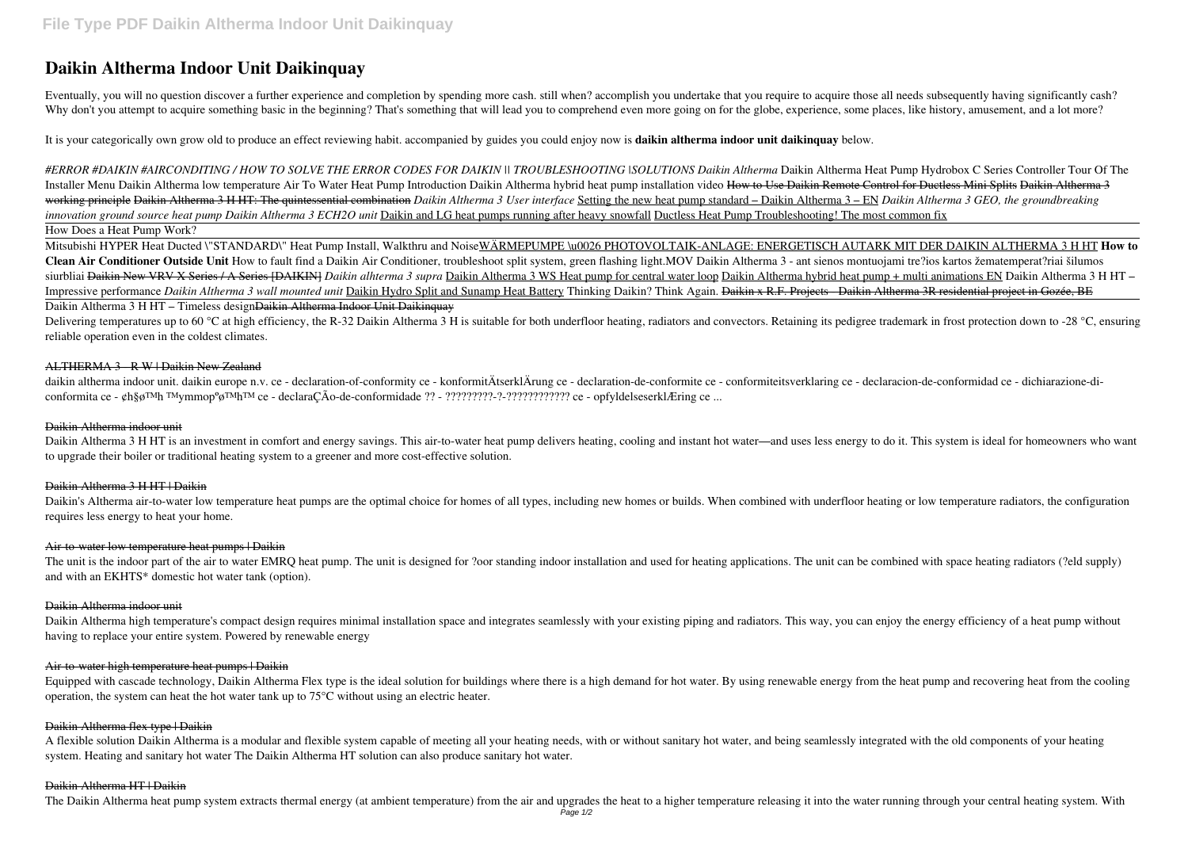# **Daikin Altherma Indoor Unit Daikinquay**

Eventually, you will no question discover a further experience and completion by spending more cash. still when? accomplish you undertake that you require to acquire those all needs subsequently having significantly cash? Why don't you attempt to acquire something basic in the beginning? That's something that will lead you to comprehend even more going on for the globe, experience, some places, like history, amusement, and a lot more?

It is your categorically own grow old to produce an effect reviewing habit. accompanied by guides you could enjoy now is **daikin altherma indoor unit daikinquay** below.

*#ERROR #DAIKIN #AIRCONDITING / HOW TO SOLVE THE ERROR CODES FOR DAIKIN || TROUBLESHOOTING |SOLUTIONS Daikin Altherma* Daikin Altherma Heat Pump Hydrobox C Series Controller Tour Of The Installer Menu Daikin Altherma low temperature Air To Water Heat Pump Introduction Daikin Altherma hybrid heat pump installation video How to Use Daikin Remote Control for Ductless Mini Splits Daikin Altherma 3 working principle Daikin Altherma 3 H HT: The quintessential combination *Daikin Altherma 3 User interface* Setting the new heat pump standard – Daikin Altherma 3 – EN *Daikin Altherma 3 GEO, the groundbreaking innovation ground source heat pump Daikin Altherma 3 ECH2O unit* Daikin and LG heat pumps running after heavy snowfall Ductless Heat Pump Troubleshooting! The most common fix How Does a Heat Pump Work?

Delivering temperatures up to 60 °C at high efficiency, the R-32 Daikin Altherma 3 H is suitable for both underfloor heating, radiators and convectors. Retaining its pedigree trademark in frost protection down to -28 °C, e reliable operation even in the coldest climates.

daikin altherma indoor unit. daikin europe n.v. ce - declaration-of-conformity ce - konformitÄtserklÄrung ce - declaration-de-conformiteitsverklaring ce - declaracion-de-conformidad ce - dichiarazione-diconformita ce - ¢h§ø™h ™ymmopºø™h™ ce - declaraÇÃo-de-conformidade ?? - ?????????-?-???????????? ce - opfyldelseserklÆring ce ...

Daikin Altherma 3 H HT is an investment in comfort and energy savings. This air-to-water heat pump delivers heating, cooling and instant hot water—and uses less energy to do it. This system is ideal for homeowners who want to upgrade their boiler or traditional heating system to a greener and more cost-effective solution.

Daikin's Altherma air-to-water low temperature heat pumps are the optimal choice for homes of all types, including new homes or builds. When combined with underfloor heating or low temperature radiators, the configuration requires less energy to heat your home.

Mitsubishi HYPER Heat Ducted \"STANDARD\" Heat Pump Install, Walkthru and NoiseWÄRMEPUMPE \u0026 PHOTOVOLTAIK-ANLAGE: ENERGETISCH AUTARK MIT DER DAIKIN ALTHERMA 3 H HT **How to Clean Air Conditioner Outside Unit** How to fault find a Daikin Air Conditioner, troubleshoot split system, green flashing light.MOV Daikin Altherma 3 - ant sienos montuojami tre?ios kartos žematemperat?riai šilumos siurbliai <del>Daikin New VRV X Series / A Series [DAIKIN]</del> Daikin alhterma 3 supra Daikin Altherma 3 WS Heat pump for central water loop Daikin Altherma hybrid heat pump + multi animations EN Daikin Altherma 3 H HT – Impressive performance *Daikin Altherma 3 wall mounted unit* Daikin Hydro Split and Sunamp Heat Battery Thinking Daikin? Think Again. Daikin x R.F. Projects - Daikin Altherma 3R residential project in Gozée, BE

The unit is the indoor part of the air to water EMRQ heat pump. The unit is designed for ?oor standing indoor installation and used for heating applications. The unit can be combined with space heating radiators (?eld supp and with an EKHTS\* domestic hot water tank (option).

Daikin Altherma high temperature's compact design requires minimal installation space and integrates seamlessly with your existing piping and radiators. This way, you can enjoy the energy efficiency of a heat pump without having to replace your entire system. Powered by renewable energy

# Daikin Altherma 3 H HT – Timeless designDaikin Altherma Indoor Unit Daikinquay

Equipped with cascade technology, Daikin Altherma Flex type is the ideal solution for buildings where there is a high demand for hot water. By using renewable energy from the heat pump and recovering heat from the cooling operation, the system can heat the hot water tank up to 75°C without using an electric heater.

### ALTHERMA 3 - R W | Daikin New Zealand

#### Daikin Altherma indoor unit

# Daikin Altherma 3 H HT | Daikin

#### Air-to-water low temperature heat pumps | Daikin

#### Daikin Altherma indoor unit

#### Air-to-water high temperature heat pumps | Daikin

#### Daikin Altherma flex type | Daikin

A flexible solution Daikin Altherma is a modular and flexible system capable of meeting all your heating needs, with or without sanitary hot water, and being seamlessly integrated with the old components of your heating system. Heating and sanitary hot water The Daikin Altherma HT solution can also produce sanitary hot water.

#### Daikin Altherma HT | Daikin

The Daikin Altherma heat pump system extracts thermal energy (at ambient temperature) from the air and upgrades the heat to a higher temperature releasing it into the water running through your central heating system. With